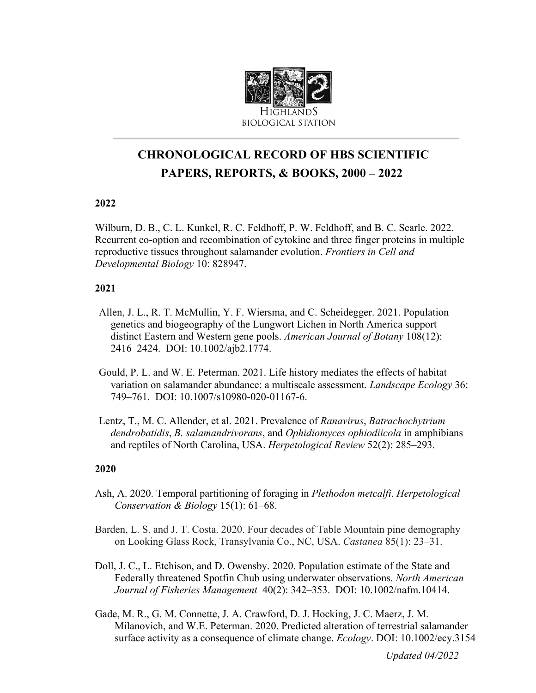

# **CHRONOLOGICAL RECORD OF HBS SCIENTIFIC PAPERS, REPORTS, & BOOKS, 2000 – 2022**

# **2022**

Wilburn, D. B., C. L. Kunkel, R. C. Feldhoff, P. W. Feldhoff, and B. C. Searle. 2022. Recurrent co-option and recombination of cytokine and three finger proteins in multiple reproductive tissues throughout salamander evolution. *Frontiers in Cell and Developmental Biology* 10: 828947.

## **2021**

- Allen, J. L., R. T. McMullin, Y. F. Wiersma, and C. Scheidegger. 2021. Population genetics and biogeography of the Lungwort Lichen in North America support distinct Eastern and Western gene pools. *American Journal of Botany* 108(12): 2416–2424. DOI: 10.1002/ajb2.1774.
- Gould, P. L. and W. E. Peterman. 2021. Life history mediates the effects of habitat variation on salamander abundance: a multiscale assessment. *Landscape Ecology* 36: 749–761. DOI: 10.1007/s10980-020-01167-6.
- Lentz, T., M. C. Allender, et al. 2021. Prevalence of *Ranavirus*, *Batrachochytrium dendrobatidis*, *B. salamandrivorans*, and *Ophidiomyces ophiodiicola* in amphibians and reptiles of North Carolina, USA. *Herpetological Review* 52(2): 285–293.

## **2020**

- Ash, A. 2020. Temporal partitioning of foraging in *Plethodon metcalfi*. *Herpetological Conservation & Biology* 15(1): 61–68.
- Barden, L. S. and J. T. Costa. 2020. Four decades of Table Mountain pine demography on Looking Glass Rock, Transylvania Co., NC, USA. *Castanea* 85(1): 23–31.
- Doll, J. C., L. Etchison, and D. Owensby. 2020. Population estimate of the State and Federally threatened Spotfin Chub using underwater observations. *North American Journal of Fisheries Management* 40(2): 342–353. DOI: 10.1002/nafm.10414.
- Gade, M. R., G. M. Connette, J. A. Crawford, D. J. Hocking, J. C. Maerz, J. M. Milanovich, and W.E. Peterman. 2020. Predicted alteration of terrestrial salamander surface activity as a consequence of climate change. *Ecology*. DOI: 10.1002/ecy.3154

*Updated 04/2022*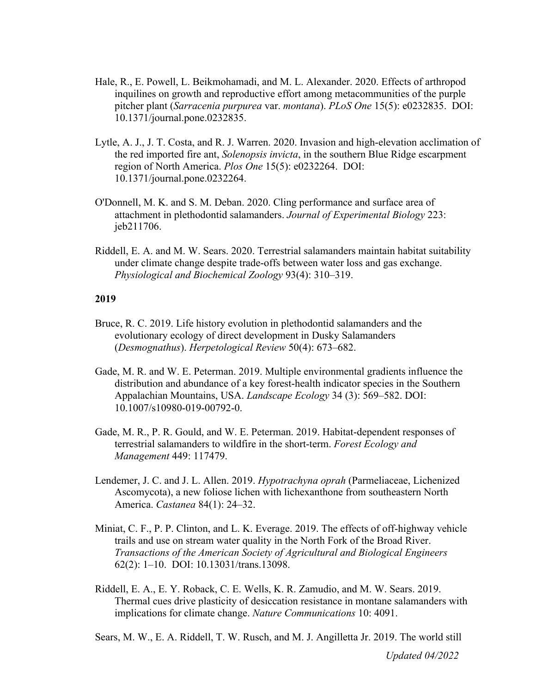- Hale, R., E. Powell, L. Beikmohamadi, and M. L. Alexander. 2020. Effects of arthropod inquilines on growth and reproductive effort among metacommunities of the purple pitcher plant (*Sarracenia purpurea* var. *montana*). *PLoS One* 15(5): e0232835. DOI: 10.1371/journal.pone.0232835.
- Lytle, A. J., J. T. Costa, and R. J. Warren. 2020. Invasion and high-elevation acclimation of the red imported fire ant, *Solenopsis invicta*, in the southern Blue Ridge escarpment region of North America. *Plos One* 15(5): e0232264. DOI: 10.1371/journal.pone.0232264.
- O'Donnell, M. K. and S. M. Deban. 2020. Cling performance and surface area of attachment in plethodontid salamanders. *Journal of Experimental Biology* 223: jeb211706.
- Riddell, E. A. and M. W. Sears. 2020. Terrestrial salamanders maintain habitat suitability under climate change despite trade-offs between water loss and gas exchange. *Physiological and Biochemical Zoology* 93(4): 310–319.

- Bruce, R. C. 2019. Life history evolution in plethodontid salamanders and the evolutionary ecology of direct development in Dusky Salamanders (*Desmognathus*). *Herpetological Review* 50(4): 673–682.
- Gade, M. R. and W. E. Peterman. 2019. Multiple environmental gradients influence the distribution and abundance of a key forest-health indicator species in the Southern Appalachian Mountains, USA. *Landscape Ecology* 34 (3): 569–582. DOI: 10.1007/s10980-019-00792-0.
- Gade, M. R., P. R. Gould, and W. E. Peterman. 2019. Habitat-dependent responses of terrestrial salamanders to wildfire in the short-term. *Forest Ecology and Management* 449: 117479.
- Lendemer, J. C. and J. L. Allen. 2019. *Hypotrachyna oprah* (Parmeliaceae, Lichenized Ascomycota), a new foliose lichen with lichexanthone from southeastern North America. *Castanea* 84(1): 24–32.
- Miniat, C. F., P. P. Clinton, and L. K. Everage. 2019. The effects of off-highway vehicle trails and use on stream water quality in the North Fork of the Broad River. *Transactions of the American Society of Agricultural and Biological Engineers* 62(2): 1–10. DOI: 10.13031/trans.13098.
- Riddell, E. A., E. Y. Roback, C. E. Wells, K. R. Zamudio, and M. W. Sears. 2019. Thermal cues drive plasticity of desiccation resistance in montane salamanders with implications for climate change. *Nature Communications* 10: 4091.
- Sears, M. W., E. A. Riddell, T. W. Rusch, and M. J. Angilletta Jr. 2019. The world still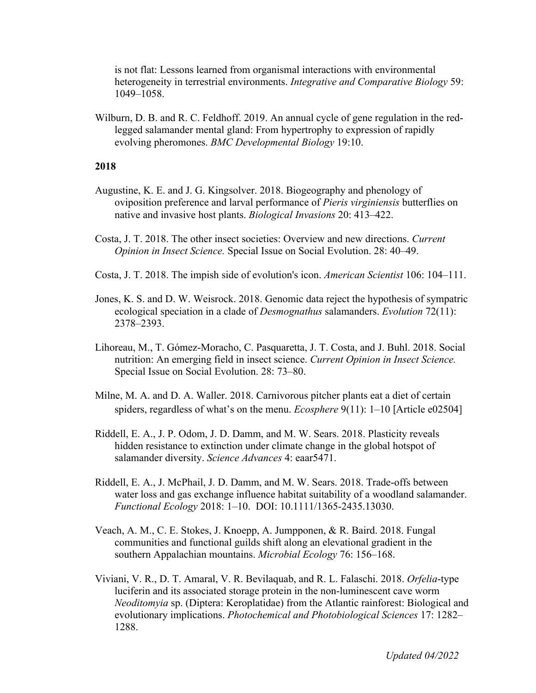is not flat: Lessons learned from organismal interactions with environmental heterogeneity in terrestrial environments. *Integrative and Comparative Biology* 59: 1049–1058.

Wilburn, D. B. and R. C. Feldhoff. 2019. An annual cycle of gene regulation in the redlegged salamander mental gland: From hypertrophy to expression of rapidly evolving pheromones. *BMC Developmental Biology* 19:10.

- Augustine, K. E. and J. G. Kingsolver. 2018. Biogeography and phenology of oviposition preference and larval performance of *Pieris virginiensis* butterflies on native and invasive host plants. *Biological Invasions* 20: 413–422.
- Costa, J. T. 2018. The other insect societies: Overview and new directions. *Current Opinion in Insect Science.* Special Issue on Social Evolution. 28: 40–49.
- Costa, J. T. 2018. The impish side of evolution's icon. *American Scientist* 106: 104–111.
- Jones, K. S. and D. W. Weisrock. 2018. Genomic data reject the hypothesis of sympatric ecological speciation in a clade of *Desmognathus* salamanders. *Evolution* 72(11): 2378–2393.
- Lihoreau, M., T. Gómez-Moracho, C. Pasquaretta, J. T. Costa, and J. Buhl. 2018. Social nutrition: An emerging field in insect science. *Current Opinion in Insect Science.* Special Issue on Social Evolution. 28: 73–80.
- Milne, M. A. and D. A. Waller. 2018. Carnivorous pitcher plants eat a diet of certain spiders, regardless of what's on the menu. *Ecosphere* 9(11): 1–10 [Article e02504]
- Riddell, E. A., J. P. Odom, J. D. Damm, and M. W. Sears. 2018. Plasticity reveals hidden resistance to extinction under climate change in the global hotspot of salamander diversity. *Science Advances* 4: eaar5471.
- Riddell, E. A., J. McPhail, J. D. Damm, and M. W. Sears. 2018. Trade-offs between water loss and gas exchange influence habitat suitability of a woodland salamander. *Functional Ecology* 2018: 1–10. DOI: 10.1111/1365-2435.13030.
- Veach, A. M., C. E. Stokes, J. Knoepp, A. Jumpponen, & R. Baird. 2018. Fungal communities and functional guilds shift along an elevational gradient in the southern Appalachian mountains. *Microbial Ecology* 76: 156–168.
- Viviani, V. R., D. T. Amaral, V. R. Bevilaquab, and R. L. Falaschi. 2018. *Orfelia*-type luciferin and its associated storage protein in the non-luminescent cave worm *Neoditomyia* sp. (Diptera: Keroplatidae) from the Atlantic rainforest: Biological and evolutionary implications. *Photochemical and Photobiological Sciences* 17: 1282– 1288.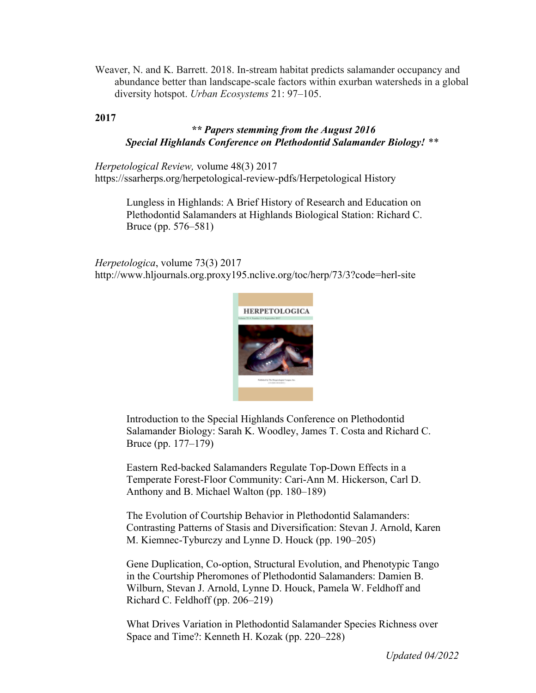Weaver, N. and K. Barrett. 2018. In-stream habitat predicts salamander occupancy and abundance better than landscape-scale factors within exurban watersheds in a global diversity hotspot. *Urban Ecosystems* 21: 97–105.

**2017**

# *\*\* Papers stemming from the August 2016 Special Highlands Conference on Plethodontid Salamander Biology! \*\**

*Herpetological Review,* volume 48(3) 2017 https://ssarherps.org/herpetological-review-pdfs/Herpetological History

> Lungless in Highlands: A Brief History of Research and Education on Plethodontid Salamanders at Highlands Biological Station: Richard C. Bruce (pp. 576–581)

*Herpetologica*, volume 73(3) 2017 http://www.hljournals.org.proxy195.nclive.org/toc/herp/73/3?code=herl-site



Introduction to the Special Highlands Conference on Plethodontid Salamander Biology: Sarah K. Woodley, James T. Costa and Richard C. Bruce (pp. 177–179)

Eastern Red-backed Salamanders Regulate Top-Down Effects in a Temperate Forest-Floor Community: Cari-Ann M. Hickerson, Carl D. Anthony and B. Michael Walton (pp. 180–189)

The Evolution of Courtship Behavior in Plethodontid Salamanders: Contrasting Patterns of Stasis and Diversification: Stevan J. Arnold, Karen M. Kiemnec-Tyburczy and Lynne D. Houck (pp. 190–205)

Gene Duplication, Co-option, Structural Evolution, and Phenotypic Tango in the Courtship Pheromones of Plethodontid Salamanders: Damien B. Wilburn, Stevan J. Arnold, Lynne D. Houck, Pamela W. Feldhoff and Richard C. Feldhoff (pp. 206–219)

What Drives Variation in Plethodontid Salamander Species Richness over Space and Time?: Kenneth H. Kozak (pp. 220–228)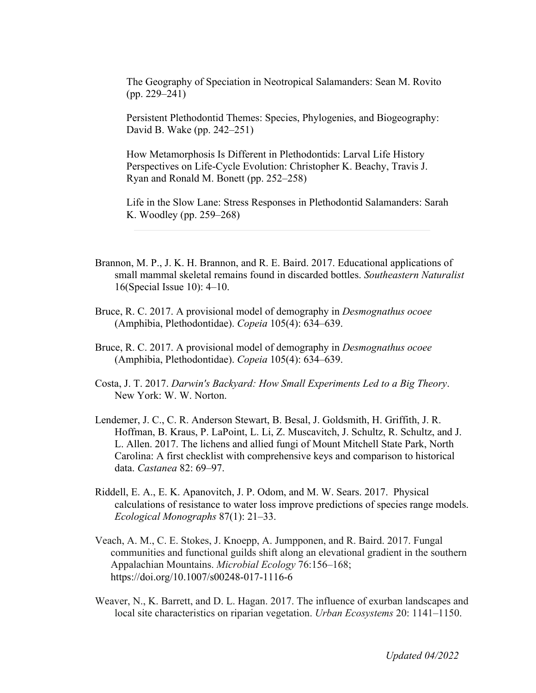The Geography of Speciation in Neotropical Salamanders: Sean M. Rovito (pp. 229–241)

Persistent Plethodontid Themes: Species, Phylogenies, and Biogeography: David B. Wake (pp. 242–251)

How Metamorphosis Is Different in Plethodontids: Larval Life History Perspectives on Life-Cycle Evolution: Christopher K. Beachy, Travis J. Ryan and Ronald M. Bonett (pp. 252–258)

Life in the Slow Lane: Stress Responses in Plethodontid Salamanders: Sarah K. Woodley (pp. 259–268)

- Brannon, M. P., J. K. H. Brannon, and R. E. Baird. 2017. Educational applications of small mammal skeletal remains found in discarded bottles. *Southeastern Naturalist*  16(Special Issue 10): 4–10.
- Bruce, R. C. 2017. A provisional model of demography in *Desmognathus ocoee* (Amphibia, Plethodontidae). *Copeia* 105(4): 634–639.
- Bruce, R. C. 2017. A provisional model of demography in *Desmognathus ocoee* (Amphibia, Plethodontidae). *Copeia* 105(4): 634–639.
- Costa, J. T. 2017. *Darwin's Backyard: How Small Experiments Led to a Big Theory*. New York: W. W. Norton.
- Lendemer, J. C., C. R. Anderson Stewart, B. Besal, J. Goldsmith, H. Griffith, J. R. Hoffman, B. Kraus, P. LaPoint, L. Li, Z. Muscavitch, J. Schultz, R. Schultz, and J. L. Allen. 2017. The lichens and allied fungi of Mount Mitchell State Park, North Carolina: A first checklist with comprehensive keys and comparison to historical data. *Castanea* 82: 69–97.
- Riddell, E. A., E. K. Apanovitch, J. P. Odom, and M. W. Sears. 2017. Physical calculations of resistance to water loss improve predictions of species range models. *Ecological Monographs* 87(1): 21–33.
- Veach, A. M., C. E. Stokes, J. Knoepp, A. Jumpponen, and R. Baird. 2017. Fungal communities and functional guilds shift along an elevational gradient in the southern Appalachian Mountains. *Microbial Ecology* 76:156–168; https://doi.org/10.1007/s00248-017-1116-6
- Weaver, N., K. Barrett, and D. L. Hagan. 2017. The influence of exurban landscapes and local site characteristics on riparian vegetation. *Urban Ecosystems* 20: 1141–1150.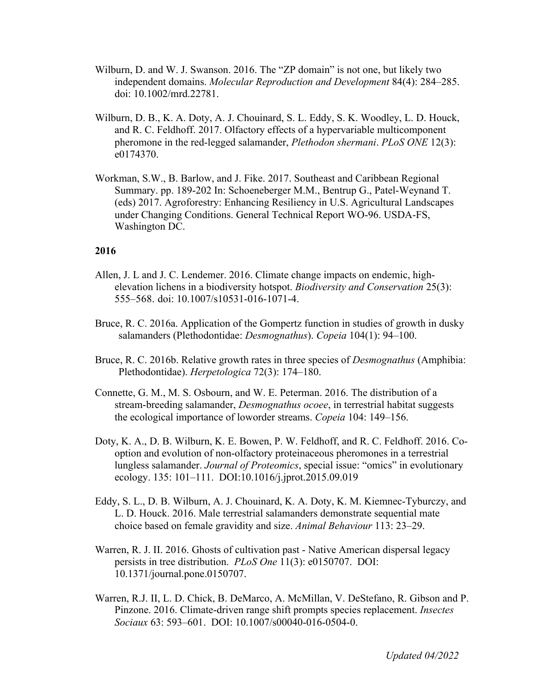- Wilburn, D. and W. J. Swanson. 2016. The "ZP domain" is not one, but likely two independent domains. *Molecular Reproduction and Development* 84(4): 284–285. doi: 10.1002/mrd.22781.
- Wilburn, D. B., K. A. Doty, A. J. Chouinard, S. L. Eddy, S. K. Woodley, L. D. Houck, and R. C. Feldhoff. 2017. Olfactory effects of a hypervariable multicomponent pheromone in the red-legged salamander, *Plethodon shermani*. *PLoS ONE* 12(3): e0174370.
- Workman, S.W., B. Barlow, and J. Fike. 2017. Southeast and Caribbean Regional Summary. pp. 189-202 In: Schoeneberger M.M., Bentrup G., Patel-Weynand T. (eds) 2017. Agroforestry: Enhancing Resiliency in U.S. Agricultural Landscapes under Changing Conditions. General Technical Report WO-96. USDA-FS, Washington DC.

- Allen, J. L and J. C. Lendemer. 2016. Climate change impacts on endemic, highelevation lichens in a biodiversity hotspot. *Biodiversity and Conservation* 25(3): 555–568. doi: 10.1007/s10531-016-1071-4.
- Bruce, R. C. 2016a. Application of the Gompertz function in studies of growth in dusky salamanders (Plethodontidae: *Desmognathus*). *Copeia* 104(1): 94–100.
- Bruce, R. C. 2016b. Relative growth rates in three species of *Desmognathus* (Amphibia: Plethodontidae). *Herpetologica* 72(3): 174–180.
- Connette, G. M., M. S. Osbourn, and W. E. Peterman. 2016. The distribution of a stream-breeding salamander, *Desmognathus ocoee*, in terrestrial habitat suggests the ecological importance of loworder streams. *Copeia* 104: 149–156.
- Doty, K. A., D. B. Wilburn, K. E. Bowen, P. W. Feldhoff, and R. C. Feldhoff. 2016. Cooption and evolution of non-olfactory proteinaceous pheromones in a terrestrial lungless salamander. *Journal of Proteomics*, special issue: "omics" in evolutionary ecology. 135: 101–111. DOI:10.1016/j.jprot.2015.09.019
- Eddy, S. L., D. B. Wilburn, A. J. Chouinard, K. A. Doty, K. M. Kiemnec-Tyburczy, and L. D. Houck. 2016. Male terrestrial salamanders demonstrate sequential mate choice based on female gravidity and size. *Animal Behaviour* 113: 23–29.
- Warren, R. J. II. 2016. Ghosts of cultivation past Native American dispersal legacy persists in tree distribution. *PLoS One* 11(3): e0150707. DOI: 10.1371/journal.pone.0150707.
- Warren, R.J. II, L. D. Chick, B. DeMarco, A. McMillan, V. DeStefano, R. Gibson and P. Pinzone. 2016. Climate-driven range shift prompts species replacement. *Insectes Sociaux* 63: 593–601. DOI: 10.1007/s00040-016-0504-0.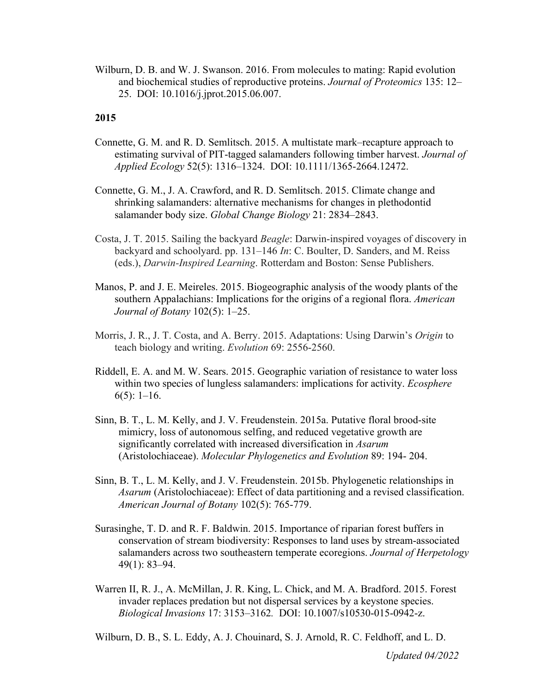Wilburn, D. B. and W. J. Swanson. 2016. From molecules to mating: Rapid evolution and biochemical studies of reproductive proteins. *Journal of Proteomics* 135: 12– 25. DOI: 10.1016/j.jprot.2015.06.007.

## **2015**

- Connette, G. M. and R. D. Semlitsch. 2015. A multistate mark–recapture approach to estimating survival of PIT-tagged salamanders following timber harvest. *Journal of Applied Ecology* 52(5): 1316–1324. DOI: 10.1111/1365-2664.12472.
- Connette, G. M., J. A. Crawford, and R. D. Semlitsch. 2015. Climate change and shrinking salamanders: alternative mechanisms for changes in plethodontid salamander body size. *Global Change Biology* 21: 2834–2843.
- Costa, J. T. 2015. Sailing the backyard *Beagle*: Darwin-inspired voyages of discovery in backyard and schoolyard. pp. 131–146 *In*: C. Boulter, D. Sanders, and M. Reiss (eds.), *Darwin-Inspired Learning*. Rotterdam and Boston: Sense Publishers.
- Manos, P. and J. E. Meireles. 2015. Biogeographic analysis of the woody plants of the southern Appalachians: Implications for the origins of a regional flora. *American Journal of Botany* 102(5): 1–25.
- Morris, J. R., J. T. Costa, and A. Berry. 2015. Adaptations: Using Darwin's *Origin* to teach biology and writing. *Evolution* 69: 2556-2560.
- Riddell, E. A. and M. W. Sears. 2015. Geographic variation of resistance to water loss within two species of lungless salamanders: implications for activity. *Ecosphere*   $6(5)$ : 1–16.
- Sinn, B. T., L. M. Kelly, and J. V. Freudenstein. 2015a. Putative floral brood-site mimicry, loss of autonomous selfing, and reduced vegetative growth are significantly correlated with increased diversification in *Asarum*  (Aristolochiaceae). *Molecular Phylogenetics and Evolution* 89: 194- 204.
- Sinn, B. T., L. M. Kelly, and J. V. Freudenstein. 2015b. Phylogenetic relationships in *Asarum* (Aristolochiaceae): Effect of data partitioning and a revised classification. *American Journal of Botany* 102(5): 765-779.
- Surasinghe, T. D. and R. F. Baldwin. 2015. Importance of riparian forest buffers in conservation of stream biodiversity: Responses to land uses by stream-associated salamanders across two southeastern temperate ecoregions. *Journal of Herpetology* 49(1): 83–94.
- Warren II, R. J., A. McMillan, J. R. King, L. Chick, and M. A. Bradford. 2015. Forest invader replaces predation but not dispersal services by a keystone species. *Biological Invasions* 17: 3153–3162*.* DOI: 10.1007/s10530-015-0942-z.

Wilburn, D. B., S. L. Eddy, A. J. Chouinard, S. J. Arnold, R. C. Feldhoff, and L. D.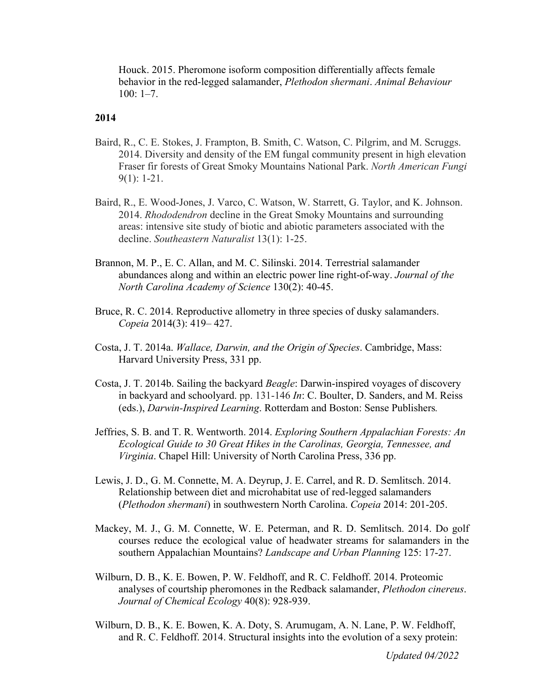Houck. 2015. Pheromone isoform composition differentially affects female behavior in the red-legged salamander, *Plethodon shermani*. *Animal Behaviour*  $100: 1-7.$ 

#### **2014**

- Baird, R., C. E. Stokes, J. Frampton, B. Smith, C. Watson, C. Pilgrim, and M. Scruggs. 2014. Diversity and density of the EM fungal community present in high elevation Fraser fir forests of Great Smoky Mountains National Park. *North American Fungi* 9(1): 1-21.
- Baird, R., E. Wood-Jones, J. Varco, C. Watson, W. Starrett, G. Taylor, and K. Johnson. 2014. *Rhododendron* decline in the Great Smoky Mountains and surrounding areas: intensive site study of biotic and abiotic parameters associated with the decline. *Southeastern Naturalist* 13(1): 1-25.
- Brannon, M. P., E. C. Allan, and M. C. Silinski. 2014. Terrestrial salamander abundances along and within an electric power line right-of-way. *Journal of the North Carolina Academy of Science* 130(2): 40-45.
- Bruce, R. C. 2014. Reproductive allometry in three species of dusky salamanders. *Copeia* 2014(3): 419– 427.
- Costa, J. T. 2014a. *Wallace, Darwin, and the Origin of Species*. Cambridge, Mass: Harvard University Press, 331 pp.
- Costa, J. T. 2014b. Sailing the backyard *Beagle*: Darwin-inspired voyages of discovery in backyard and schoolyard. pp. 131-146 *In*: C. Boulter, D. Sanders, and M. Reiss (eds.), *Darwin-Inspired Learning*. Rotterdam and Boston: Sense Publishers*.*
- Jeffries, S. B. and T. R. Wentworth. 2014. *Exploring Southern Appalachian Forests: An Ecological Guide to 30 Great Hikes in the Carolinas, Georgia, Tennessee, and Virginia*. Chapel Hill: University of North Carolina Press, 336 pp.
- Lewis, J. D., G. M. Connette, M. A. Deyrup, J. E. Carrel, and R. D. Semlitsch. 2014. Relationship between diet and microhabitat use of red-legged salamanders (*Plethodon shermani*) in southwestern North Carolina. *Copeia* 2014: 201-205.
- Mackey, M. J., G. M. Connette, W. E. Peterman, and R. D. Semlitsch. 2014. Do golf courses reduce the ecological value of headwater streams for salamanders in the southern Appalachian Mountains? *Landscape and Urban Planning* 125: 17-27.
- Wilburn, D. B., K. E. Bowen, P. W. Feldhoff, and R. C. Feldhoff. 2014. Proteomic analyses of courtship pheromones in the Redback salamander, *Plethodon cinereus*. *Journal of Chemical Ecology* 40(8): 928-939.
- Wilburn, D. B., K. E. Bowen, K. A. Doty, S. Arumugam, A. N. Lane, P. W. Feldhoff, and R. C. Feldhoff. 2014. Structural insights into the evolution of a sexy protein:

*Updated 04/2022*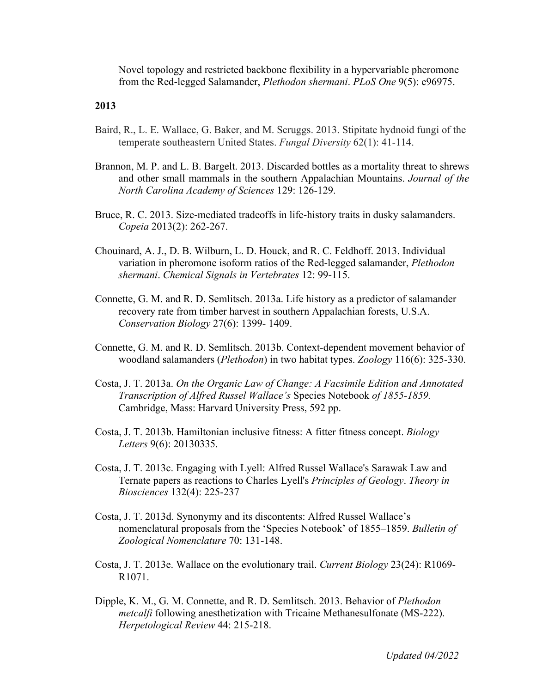Novel topology and restricted backbone flexibility in a hypervariable pheromone from the Red-legged Salamander, *Plethodon shermani*. *PLoS One* 9(5): e96975.

- Baird, R., L. E. Wallace, G. Baker, and M. Scruggs. 2013. Stipitate hydnoid fungi of the temperate southeastern United States. *Fungal Diversity* 62(1): 41-114.
- Brannon, M. P. and L. B. Bargelt. 2013. Discarded bottles as a mortality threat to shrews and other small mammals in the southern Appalachian Mountains. *Journal of the North Carolina Academy of Sciences* 129: 126-129.
- Bruce, R. C. 2013. Size-mediated tradeoffs in life-history traits in dusky salamanders. *Copeia* 2013(2): 262-267.
- Chouinard, A. J., D. B. Wilburn, L. D. Houck, and R. C. Feldhoff. 2013. Individual variation in pheromone isoform ratios of the Red-legged salamander, *Plethodon shermani*. *Chemical Signals in Vertebrates* 12: 99-115.
- Connette, G. M. and R. D. Semlitsch. 2013a. Life history as a predictor of salamander recovery rate from timber harvest in southern Appalachian forests, U.S.A. *Conservation Biology* 27(6): 1399- 1409.
- Connette, G. M. and R. D. Semlitsch. 2013b. Context-dependent movement behavior of woodland salamanders (*Plethodon*) in two habitat types. *Zoology* 116(6): 325-330.
- Costa, J. T. 2013a. *On the Organic Law of Change: A Facsimile Edition and Annotated Transcription of Alfred Russel Wallace's* Species Notebook *of 1855-1859.*  Cambridge, Mass: Harvard University Press, 592 pp.
- Costa, J. T. 2013b. Hamiltonian inclusive fitness: A fitter fitness concept. *Biology Letters* 9(6): 20130335.
- Costa, J. T. 2013c. Engaging with Lyell: Alfred Russel Wallace's Sarawak Law and Ternate papers as reactions to Charles Lyell's *Principles of Geology*. *Theory in Biosciences* 132(4): 225-237
- Costa, J. T. 2013d. Synonymy and its discontents: Alfred Russel Wallace's nomenclatural proposals from the 'Species Notebook' of 1855–1859. *Bulletin of Zoological Nomenclature* 70: 131-148.
- Costa, J. T. 2013e. Wallace on the evolutionary trail. *Current Biology* 23(24): R1069- R1071.
- Dipple, K. M., G. M. Connette, and R. D. Semlitsch. 2013. Behavior of *Plethodon metcalfi* following anesthetization with Tricaine Methanesulfonate (MS-222). *Herpetological Review* 44: 215-218.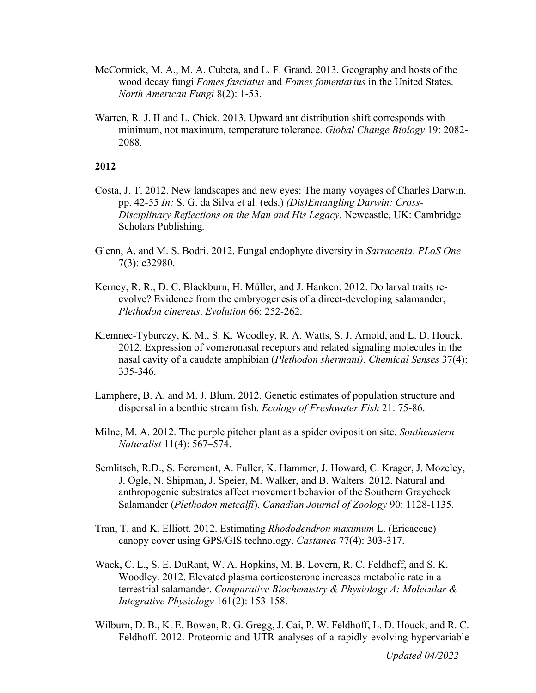- McCormick, M. A., M. A. Cubeta, and L. F. Grand. 2013. Geography and hosts of the wood decay fungi *Fomes fasciatus* and *Fomes fomentarius* in the United States. *North American Fungi* 8(2): 1-53.
- Warren, R. J. II and L. Chick. 2013. Upward ant distribution shift corresponds with minimum, not maximum, temperature tolerance. *Global Change Biology* 19: 2082- 2088.

- Costa, J. T. 2012. New landscapes and new eyes: The many voyages of Charles Darwin. pp. 42-55 *In:* S. G. da Silva et al. (eds.) *(Dis)Entangling Darwin: Cross-Disciplinary Reflections on the Man and His Legacy*. Newcastle, UK: Cambridge Scholars Publishing*.*
- Glenn, A. and M. S. Bodri. 2012. Fungal endophyte diversity in *Sarracenia*. *PLoS One*  7(3): e32980.
- Kerney, R. R., D. C. Blackburn, H. Müller, and J. Hanken. 2012. Do larval traits reevolve? Evidence from the embryogenesis of a direct-developing salamander, *Plethodon cinereus*. *Evolution* 66: 252-262.
- Kiemnec-Tyburczy, K. M., S. K. Woodley, R. A. Watts, S. J. Arnold, and L. D. Houck. 2012. Expression of vomeronasal receptors and related signaling molecules in the nasal cavity of a caudate amphibian (*Plethodon shermani)*. *Chemical Senses* 37(4): 335-346.
- Lamphere, B. A. and M. J. Blum. 2012. Genetic estimates of population structure and dispersal in a benthic stream fish. *Ecology of Freshwater Fish* 21: 75-86.
- Milne, M. A. 2012. The purple pitcher plant as a spider oviposition site. *Southeastern Naturalist* 11(4): 567–574.
- Semlitsch, R.D., S. Ecrement, A. Fuller, K. Hammer, J. Howard, C. Krager, J. Mozeley, J. Ogle, N. Shipman, J. Speier, M. Walker, and B. Walters. 2012. Natural and anthropogenic substrates affect movement behavior of the Southern Graycheek Salamander (*Plethodon metcalfi*). *Canadian Journal of Zoology* 90: 1128-1135.
- Tran, T. and K. Elliott. 2012. Estimating *Rhododendron maximum* L. (Ericaceae) canopy cover using GPS/GIS technology. *Castanea* 77(4): 303-317.
- Wack, C. L., S. E. DuRant, W. A. Hopkins, M. B. Lovern, R. C. Feldhoff, and S. K. Woodley. 2012. Elevated plasma corticosterone increases metabolic rate in a terrestrial salamander. *Comparative Biochemistry & Physiology A: Molecular & Integrative Physiology* 161(2): 153-158.
- Wilburn, D. B., K. E. Bowen, R. G. Gregg, J. Cai, P. W. Feldhoff, L. D. Houck, and R. C. Feldhoff. 2012. Proteomic and UTR analyses of a rapidly evolving hypervariable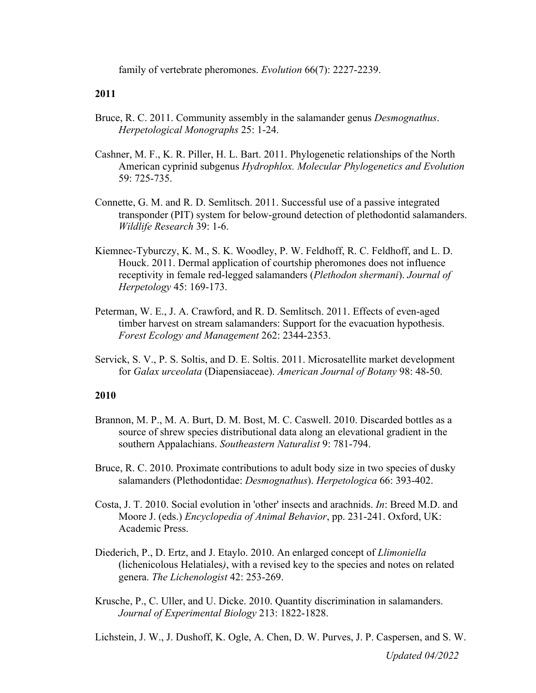family of vertebrate pheromones. *Evolution* 66(7): 2227-2239.

## **2011**

- Bruce, R. C. 2011. Community assembly in the salamander genus *Desmognathus*. *Herpetological Monographs* 25: 1-24.
- Cashner, M. F., K. R. Piller, H. L. Bart. 2011. Phylogenetic relationships of the North American cyprinid subgenus *Hydrophlox. Molecular Phylogenetics and Evolution*  59: 725-735.
- Connette, G. M. and R. D. Semlitsch. 2011. Successful use of a passive integrated transponder (PIT) system for below-ground detection of plethodontid salamanders. *Wildlife Research* 39: 1-6.
- Kiemnec-Tyburczy, K. M., S. K. Woodley, P. W. Feldhoff, R. C. Feldhoff, and L. D. Houck. 2011. Dermal application of courtship pheromones does not influence receptivity in female red-legged salamanders (*Plethodon shermani*). *Journal of Herpetology* 45: 169-173.
- Peterman, W. E., J. A. Crawford, and R. D. Semlitsch. 2011. Effects of even-aged timber harvest on stream salamanders: Support for the evacuation hypothesis. *Forest Ecology and Management* 262: 2344-2353.
- Servick, S. V., P. S. Soltis, and D. E. Soltis. 2011. Microsatellite market development for *Galax urceolata* (Diapensiaceae). *American Journal of Botany* 98: 48-50.

#### **2010**

- Brannon, M. P., M. A. Burt, D. M. Bost, M. C. Caswell. 2010. Discarded bottles as a source of shrew species distributional data along an elevational gradient in the southern Appalachians. *Southeastern Naturalist* 9: 781-794.
- Bruce, R. C. 2010. Proximate contributions to adult body size in two species of dusky salamanders (Plethodontidae: *Desmognathus*). *Herpetologica* 66: 393-402.
- Costa, J. T. 2010. Social evolution in 'other' insects and arachnids. *In*: Breed M.D. and Moore J. (eds.) *Encyclopedia of Animal Behavior*, pp. 231-241. Oxford, UK: Academic Press.
- Diederich, P., D. Ertz, and J. Etaylo. 2010. An enlarged concept of *Llimoniella*  (lichenicolous Helatiales*)*, with a revised key to the species and notes on related genera. *The Lichenologist* 42: 253-269.
- Krusche, P., C. Uller, and U. Dicke. 2010. Quantity discrimination in salamanders. *Journal of Experimental Biology* 213: 1822-1828.

Lichstein, J. W., J. Dushoff, K. Ogle, A. Chen, D. W. Purves, J. P. Caspersen, and S. W.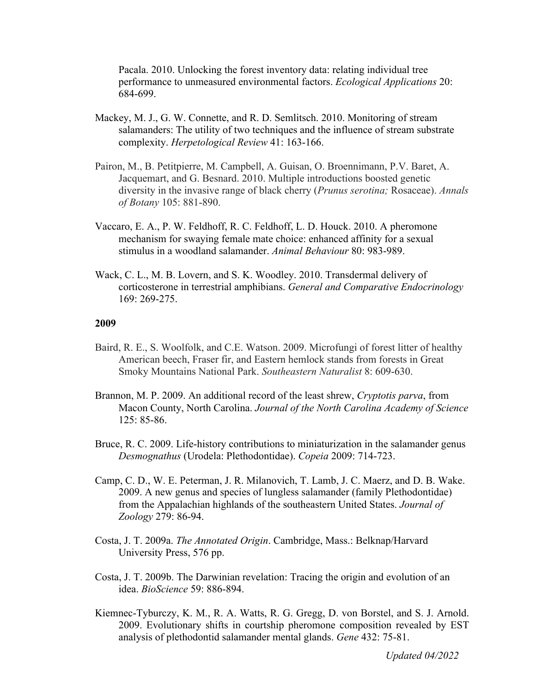Pacala. 2010. Unlocking the forest inventory data: relating individual tree performance to unmeasured environmental factors. *Ecological Applications* 20: 684-699.

- Mackey, M. J., G. W. Connette, and R. D. Semlitsch. 2010. Monitoring of stream salamanders: The utility of two techniques and the influence of stream substrate complexity. *Herpetological Review* 41: 163-166.
- Pairon, M., B. Petitpierre, M. Campbell, A. Guisan, O. Broennimann, P.V. Baret, A. Jacquemart, and G. Besnard. 2010. Multiple introductions boosted genetic diversity in the invasive range of black cherry (*Prunus serotina;* Rosaceae). *Annals of Botany* 105: 881-890.
- Vaccaro, E. A., P. W. Feldhoff, R. C. Feldhoff, L. D. Houck. 2010. A pheromone mechanism for swaying female mate choice: enhanced affinity for a sexual stimulus in a woodland salamander. *Animal Behaviour* 80: 983-989.
- Wack, C. L., M. B. Lovern, and S. K. Woodley. 2010. Transdermal delivery of corticosterone in terrestrial amphibians. *General and Comparative Endocrinology*  169: 269-275.

- Baird, R. E., S. Woolfolk, and C.E. Watson. 2009. Microfungi of forest litter of healthy American beech, Fraser fir, and Eastern hemlock stands from forests in Great Smoky Mountains National Park. *Southeastern Naturalist* 8: 609-630.
- Brannon, M. P. 2009. An additional record of the least shrew, *Cryptotis parva*, from Macon County, North Carolina. *Journal of the North Carolina Academy of Science*  125: 85-86.
- Bruce, R. C. 2009. Life-history contributions to miniaturization in the salamander genus *Desmognathus* (Urodela: Plethodontidae). *Copeia* 2009: 714-723.
- Camp, C. D., W. E. Peterman, J. R. Milanovich, T. Lamb, J. C. Maerz, and D. B. Wake. 2009. A new genus and species of lungless salamander (family Plethodontidae) from the Appalachian highlands of the southeastern United States. *Journal of Zoology* 279: 86-94.
- Costa, J. T. 2009a. *The Annotated Origin*. Cambridge, Mass.: Belknap/Harvard University Press, 576 pp.
- Costa, J. T. 2009b. The Darwinian revelation: Tracing the origin and evolution of an idea. *BioScience* 59: 886-894.
- Kiemnec-Tyburczy, K. M., R. A. Watts, R. G. Gregg, D. von Borstel, and S. J. Arnold. 2009. Evolutionary shifts in courtship pheromone composition revealed by EST analysis of plethodontid salamander mental glands. *Gene* 432: 75-81.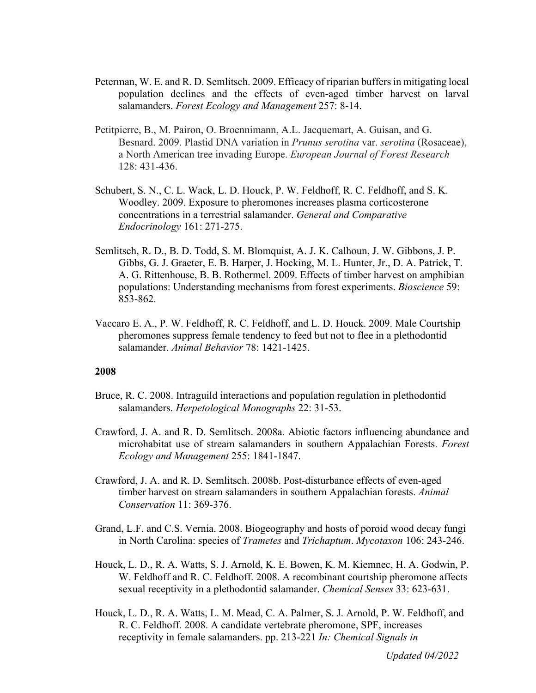- Peterman, W. E. and R. D. Semlitsch. 2009. Efficacy of riparian buffers in mitigating local population declines and the effects of even-aged timber harvest on larval salamanders. *Forest Ecology and Management* 257: 8-14.
- Petitpierre, B., M. Pairon, O. Broennimann, A.L. Jacquemart, A. Guisan, and G. Besnard. 2009. Plastid DNA variation in *Prunus serotina* var. *serotina* (Rosaceae), a North American tree invading Europe. *European Journal of Forest Research*  128: 431-436.
- Schubert, S. N., C. L. Wack, L. D. Houck, P. W. Feldhoff, R. C. Feldhoff, and S. K. Woodley. 2009. Exposure to pheromones increases plasma corticosterone concentrations in a terrestrial salamander. *General and Comparative Endocrinology* 161: 271-275.
- Semlitsch, R. D., B. D. Todd, S. M. Blomquist, A. J. K. Calhoun, J. W. Gibbons, J. P. Gibbs, G. J. Graeter, E. B. Harper, J. Hocking, M. L. Hunter, Jr., D. A. Patrick, T. A. G. Rittenhouse, B. B. Rothermel. 2009. Effects of timber harvest on amphibian populations: Understanding mechanisms from forest experiments. *Bioscience* 59: 853-862.
- Vaccaro E. A., P. W. Feldhoff, R. C. Feldhoff, and L. D. Houck. 2009. Male Courtship pheromones suppress female tendency to feed but not to flee in a plethodontid salamander. *Animal Behavior* 78: 1421-1425.

- Bruce, R. C. 2008. Intraguild interactions and population regulation in plethodontid salamanders. *Herpetological Monographs* 22: 31-53.
- Crawford, J. A. and R. D. Semlitsch. 2008a. Abiotic factors influencing abundance and microhabitat use of stream salamanders in southern Appalachian Forests. *Forest Ecology and Management* 255: 1841-1847.
- Crawford, J. A. and R. D. Semlitsch. 2008b. Post-disturbance effects of even-aged timber harvest on stream salamanders in southern Appalachian forests. *Animal Conservation* 11: 369-376.
- Grand, L.F. and C.S. Vernia. 2008. Biogeography and hosts of poroid wood decay fungi in North Carolina: species of *Trametes* and *Trichaptum*. *Mycotaxon* 106: 243-246.
- Houck, L. D., R. A. Watts, S. J. Arnold, K. E. Bowen, K. M. Kiemnec, H. A. Godwin, P. W. Feldhoff and R. C. Feldhoff. 2008. A recombinant courtship pheromone affects sexual receptivity in a plethodontid salamander. *Chemical Senses* 33: 623-631.
- Houck, L. D., R. A. Watts, L. M. Mead, C. A. Palmer, S. J. Arnold, P. W. Feldhoff, and R. C. Feldhoff. 2008. A candidate vertebrate pheromone, SPF, increases receptivity in female salamanders. pp. 213-221 *In: Chemical Signals in*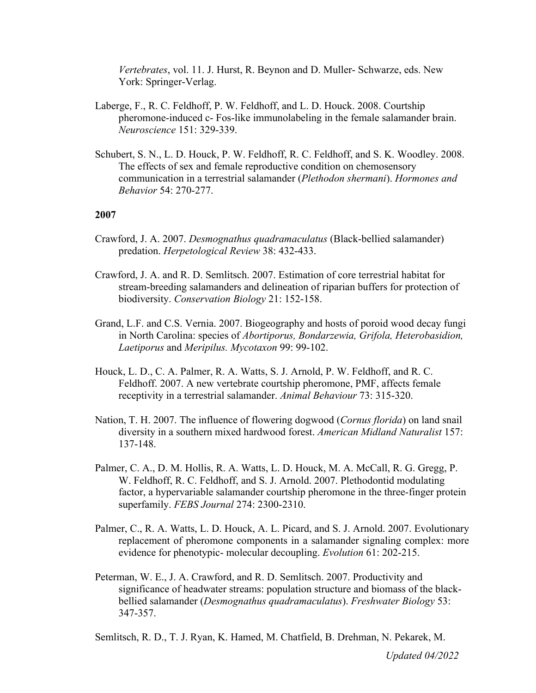*Vertebrates*, vol. 11. J. Hurst, R. Beynon and D. Muller- Schwarze, eds. New York: Springer-Verlag.

- Laberge, F., R. C. Feldhoff, P. W. Feldhoff, and L. D. Houck. 2008. Courtship pheromone-induced c- Fos-like immunolabeling in the female salamander brain. *Neuroscience* 151: 329-339.
- Schubert, S. N., L. D. Houck, P. W. Feldhoff, R. C. Feldhoff, and S. K. Woodley. 2008. The effects of sex and female reproductive condition on chemosensory communication in a terrestrial salamander (*Plethodon shermani*). *Hormones and Behavior* 54: 270-277.

## **2007**

- Crawford, J. A. 2007. *Desmognathus quadramaculatus* (Black-bellied salamander) predation. *Herpetological Review* 38: 432-433.
- Crawford, J. A. and R. D. Semlitsch. 2007. Estimation of core terrestrial habitat for stream-breeding salamanders and delineation of riparian buffers for protection of biodiversity. *Conservation Biology* 21: 152-158.
- Grand, L.F. and C.S. Vernia. 2007. Biogeography and hosts of poroid wood decay fungi in North Carolina: species of *Abortiporus, Bondarzewia, Grifola, Heterobasidion, Laetiporus* and *Meripilus. Mycotaxon* 99: 99-102.
- Houck, L. D., C. A. Palmer, R. A. Watts, S. J. Arnold, P. W. Feldhoff, and R. C. Feldhoff. 2007. A new vertebrate courtship pheromone, PMF, affects female receptivity in a terrestrial salamander. *Animal Behaviour* 73: 315-320.
- Nation, T. H. 2007. The influence of flowering dogwood (*Cornus florida*) on land snail diversity in a southern mixed hardwood forest. *American Midland Naturalist* 157: 137-148.
- Palmer, C. A., D. M. Hollis, R. A. Watts, L. D. Houck, M. A. McCall, R. G. Gregg, P. W. Feldhoff, R. C. Feldhoff, and S. J. Arnold. 2007. Plethodontid modulating factor, a hypervariable salamander courtship pheromone in the three-finger protein superfamily. *FEBS Journal* 274: 2300-2310.
- Palmer, C., R. A. Watts, L. D. Houck, A. L. Picard, and S. J. Arnold. 2007. Evolutionary replacement of pheromone components in a salamander signaling complex: more evidence for phenotypic- molecular decoupling. *Evolution* 61: 202-215.
- Peterman, W. E., J. A. Crawford, and R. D. Semlitsch. 2007. Productivity and significance of headwater streams: population structure and biomass of the blackbellied salamander (*Desmognathus quadramaculatus*). *Freshwater Biology* 53: 347-357.

Semlitsch, R. D., T. J. Ryan, K. Hamed, M. Chatfield, B. Drehman, N. Pekarek, M.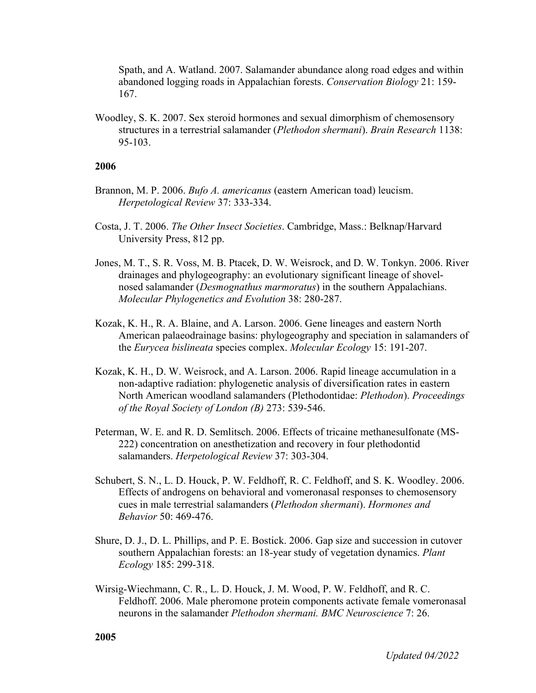Spath, and A. Watland. 2007. Salamander abundance along road edges and within abandoned logging roads in Appalachian forests. *Conservation Biology* 21: 159- 167.

Woodley, S. K. 2007. Sex steroid hormones and sexual dimorphism of chemosensory structures in a terrestrial salamander (*Plethodon shermani*). *Brain Research* 1138: 95-103.

- Brannon, M. P. 2006. *Bufo A. americanus* (eastern American toad) leucism. *Herpetological Review* 37: 333-334.
- Costa, J. T. 2006. *The Other Insect Societies*. Cambridge, Mass.: Belknap/Harvard University Press, 812 pp.
- Jones, M. T., S. R. Voss, M. B. Ptacek, D. W. Weisrock, and D. W. Tonkyn. 2006. River drainages and phylogeography: an evolutionary significant lineage of shovelnosed salamander (*Desmognathus marmoratus*) in the southern Appalachians. *Molecular Phylogenetics and Evolution* 38: 280-287.
- Kozak, K. H., R. A. Blaine, and A. Larson. 2006. Gene lineages and eastern North American palaeodrainage basins: phylogeography and speciation in salamanders of the *Eurycea bislineata* species complex. *Molecular Ecology* 15: 191-207.
- Kozak, K. H., D. W. Weisrock, and A. Larson. 2006. Rapid lineage accumulation in a non-adaptive radiation: phylogenetic analysis of diversification rates in eastern North American woodland salamanders (Plethodontidae: *Plethodon*). *Proceedings of the Royal Society of London (B)* 273: 539-546.
- Peterman, W. E. and R. D. Semlitsch. 2006. Effects of tricaine methanesulfonate (MS-222) concentration on anesthetization and recovery in four plethodontid salamanders. *Herpetological Review* 37: 303-304.
- Schubert, S. N., L. D. Houck, P. W. Feldhoff, R. C. Feldhoff, and S. K. Woodley. 2006. Effects of androgens on behavioral and vomeronasal responses to chemosensory cues in male terrestrial salamanders (*Plethodon shermani*). *Hormones and Behavior* 50: 469-476.
- Shure, D. J., D. L. Phillips, and P. E. Bostick. 2006. Gap size and succession in cutover southern Appalachian forests: an 18-year study of vegetation dynamics. *Plant Ecology* 185: 299-318.
- Wirsig-Wiechmann, C. R., L. D. Houck, J. M. Wood, P. W. Feldhoff, and R. C. Feldhoff. 2006. Male pheromone protein components activate female vomeronasal neurons in the salamander *Plethodon shermani. BMC Neuroscience* 7: 26.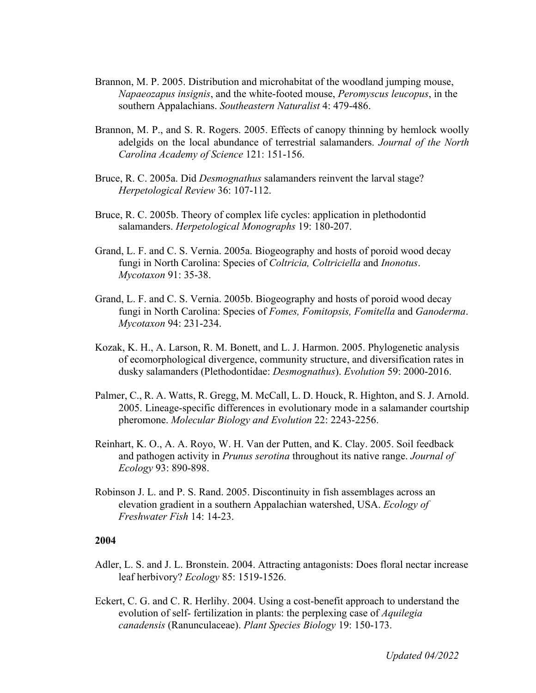- Brannon, M. P. 2005. Distribution and microhabitat of the woodland jumping mouse, *Napaeozapus insignis*, and the white-footed mouse, *Peromyscus leucopus*, in the southern Appalachians. *Southeastern Naturalist* 4: 479-486.
- Brannon, M. P., and S. R. Rogers. 2005. Effects of canopy thinning by hemlock woolly adelgids on the local abundance of terrestrial salamanders. *Journal of the North Carolina Academy of Science* 121: 151-156.
- Bruce, R. C. 2005a. Did *Desmognathus* salamanders reinvent the larval stage? *Herpetological Review* 36: 107-112.
- Bruce, R. C. 2005b. Theory of complex life cycles: application in plethodontid salamanders. *Herpetological Monographs* 19: 180-207.
- Grand, L. F. and C. S. Vernia. 2005a. Biogeography and hosts of poroid wood decay fungi in North Carolina: Species of *Coltricia, Coltriciella* and *Inonotus*. *Mycotaxon* 91: 35-38.
- Grand, L. F. and C. S. Vernia. 2005b. Biogeography and hosts of poroid wood decay fungi in North Carolina: Species of *Fomes, Fomitopsis, Fomitella* and *Ganoderma*. *Mycotaxon* 94: 231-234.
- Kozak, K. H., A. Larson, R. M. Bonett, and L. J. Harmon. 2005. Phylogenetic analysis of ecomorphological divergence, community structure, and diversification rates in dusky salamanders (Plethodontidae: *Desmognathus*). *Evolution* 59: 2000-2016.
- Palmer, C., R. A. Watts, R. Gregg, M. McCall, L. D. Houck, R. Highton, and S. J. Arnold. 2005. Lineage-specific differences in evolutionary mode in a salamander courtship pheromone. *Molecular Biology and Evolution* 22: 2243-2256.
- Reinhart, K. O., A. A. Royo, W. H. Van der Putten, and K. Clay. 2005. Soil feedback and pathogen activity in *Prunus serotina* throughout its native range. *Journal of Ecology* 93: 890-898.
- Robinson J. L. and P. S. Rand. 2005. Discontinuity in fish assemblages across an elevation gradient in a southern Appalachian watershed, USA. *Ecology of Freshwater Fish* 14: 14-23.

- Adler, L. S. and J. L. Bronstein. 2004. Attracting antagonists: Does floral nectar increase leaf herbivory? *Ecology* 85: 1519-1526.
- Eckert, C. G. and C. R. Herlihy. 2004. Using a cost-benefit approach to understand the evolution of self- fertilization in plants: the perplexing case of *Aquilegia canadensis* (Ranunculaceae). *Plant Species Biology* 19: 150-173.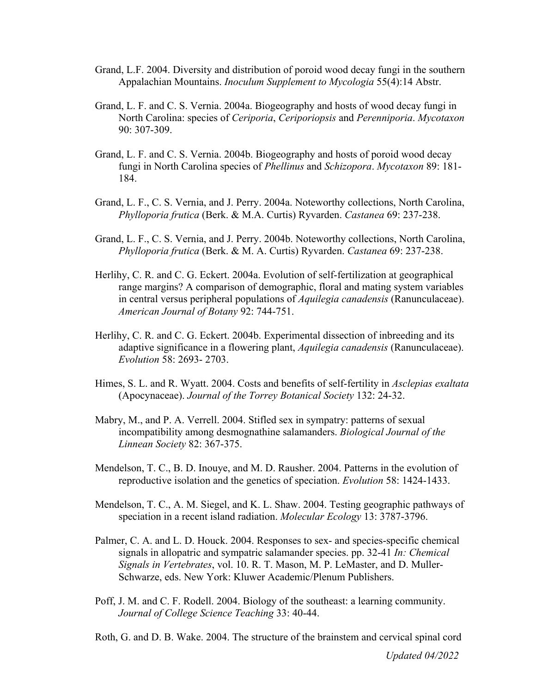- Grand, L.F. 2004. Diversity and distribution of poroid wood decay fungi in the southern Appalachian Mountains. *Inoculum Supplement to Mycologia* 55(4):14 Abstr.
- Grand, L. F. and C. S. Vernia. 2004a. Biogeography and hosts of wood decay fungi in North Carolina: species of *Ceriporia*, *Ceriporiopsis* and *Perenniporia*. *Mycotaxon*  90: 307-309.
- Grand, L. F. and C. S. Vernia. 2004b. Biogeography and hosts of poroid wood decay fungi in North Carolina species of *Phellinus* and *Schizopora*. *Mycotaxon* 89: 181- 184.
- Grand, L. F., C. S. Vernia, and J. Perry. 2004a. Noteworthy collections, North Carolina, *Phylloporia frutica* (Berk. & M.A. Curtis) Ryvarden. *Castanea* 69: 237-238.
- Grand, L. F., C. S. Vernia, and J. Perry. 2004b. Noteworthy collections, North Carolina, *Phylloporia frutica* (Berk. & M. A. Curtis) Ryvarden. *Castanea* 69: 237-238.
- Herlihy, C. R. and C. G. Eckert. 2004a. Evolution of self-fertilization at geographical range margins? A comparison of demographic, floral and mating system variables in central versus peripheral populations of *Aquilegia canadensis* (Ranunculaceae). *American Journal of Botany* 92: 744-751.
- Herlihy, C. R. and C. G. Eckert. 2004b. Experimental dissection of inbreeding and its adaptive significance in a flowering plant, *Aquilegia canadensis* (Ranunculaceae). *Evolution* 58: 2693- 2703.
- Himes, S. L. and R. Wyatt. 2004. Costs and benefits of self-fertility in *Asclepias exaltata*  (Apocynaceae). *Journal of the Torrey Botanical Society* 132: 24-32.
- Mabry, M., and P. A. Verrell. 2004. Stifled sex in sympatry: patterns of sexual incompatibility among desmognathine salamanders. *Biological Journal of the Linnean Society* 82: 367-375.
- Mendelson, T. C., B. D. Inouye, and M. D. Rausher. 2004. Patterns in the evolution of reproductive isolation and the genetics of speciation. *Evolution* 58: 1424-1433.
- Mendelson, T. C., A. M. Siegel, and K. L. Shaw. 2004. Testing geographic pathways of speciation in a recent island radiation. *Molecular Ecology* 13: 3787-3796.
- Palmer, C. A. and L. D. Houck. 2004. Responses to sex- and species-specific chemical signals in allopatric and sympatric salamander species. pp. 32-41 *In: Chemical Signals in Vertebrates*, vol. 10. R. T. Mason, M. P. LeMaster, and D. Muller-Schwarze, eds. New York: Kluwer Academic/Plenum Publishers.
- Poff, J. M. and C. F. Rodell. 2004. Biology of the southeast: a learning community. *Journal of College Science Teaching* 33: 40-44.
- Roth, G. and D. B. Wake. 2004. The structure of the brainstem and cervical spinal cord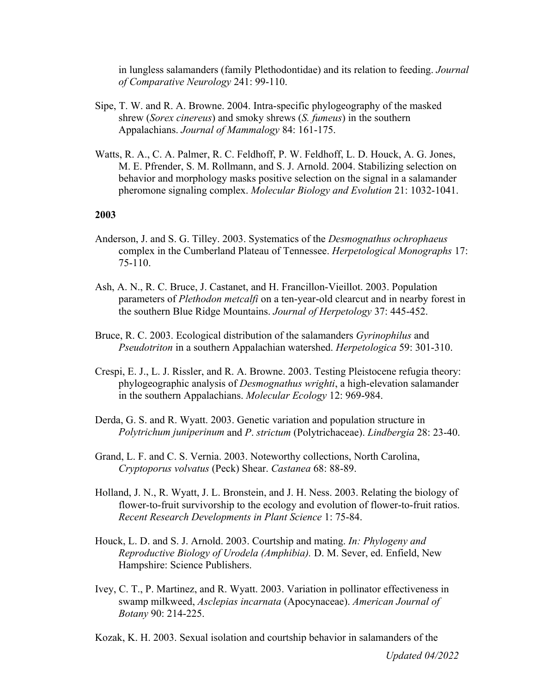in lungless salamanders (family Plethodontidae) and its relation to feeding. *Journal of Comparative Neurology* 241: 99-110.

- Sipe, T. W. and R. A. Browne. 2004. Intra-specific phylogeography of the masked shrew (*Sorex cinereus*) and smoky shrews (*S. fumeus*) in the southern Appalachians. *Journal of Mammalogy* 84: 161-175.
- Watts, R. A., C. A. Palmer, R. C. Feldhoff, P. W. Feldhoff, L. D. Houck, A. G. Jones, M. E. Pfrender, S. M. Rollmann, and S. J. Arnold. 2004. Stabilizing selection on behavior and morphology masks positive selection on the signal in a salamander pheromone signaling complex. *Molecular Biology and Evolution* 21: 1032-1041.

- Anderson, J. and S. G. Tilley. 2003. Systematics of the *Desmognathus ochrophaeus*  complex in the Cumberland Plateau of Tennessee. *Herpetological Monographs* 17: 75-110.
- Ash, A. N., R. C. Bruce, J. Castanet, and H. Francillon-Vieillot. 2003. Population parameters of *Plethodon metcalfi* on a ten-year-old clearcut and in nearby forest in the southern Blue Ridge Mountains. *Journal of Herpetology* 37: 445-452.
- Bruce, R. C. 2003. Ecological distribution of the salamanders *Gyrinophilus* and *Pseudotriton* in a southern Appalachian watershed. *Herpetologica* 59: 301-310.
- Crespi, E. J., L. J. Rissler, and R. A. Browne. 2003. Testing Pleistocene refugia theory: phylogeographic analysis of *Desmognathus wrighti*, a high-elevation salamander in the southern Appalachians. *Molecular Ecology* 12: 969-984.
- Derda, G. S. and R. Wyatt. 2003. Genetic variation and population structure in *Polytrichum juniperinum* and *P*. *strictum* (Polytrichaceae). *Lindbergia* 28: 23-40.
- Grand, L. F. and C. S. Vernia. 2003. Noteworthy collections, North Carolina, *Cryptoporus volvatus* (Peck) Shear. *Castanea* 68: 88-89.
- Holland, J. N., R. Wyatt, J. L. Bronstein, and J. H. Ness. 2003. Relating the biology of flower-to-fruit survivorship to the ecology and evolution of flower-to-fruit ratios. *Recent Research Developments in Plant Science* 1: 75-84.
- Houck, L. D. and S. J. Arnold. 2003. Courtship and mating. *In: Phylogeny and Reproductive Biology of Urodela (Amphibia).* D. M. Sever, ed. Enfield, New Hampshire: Science Publishers.
- Ivey, C. T., P. Martinez, and R. Wyatt. 2003. Variation in pollinator effectiveness in swamp milkweed, *Asclepias incarnata* (Apocynaceae). *American Journal of Botany* 90: 214-225.
- Kozak, K. H. 2003. Sexual isolation and courtship behavior in salamanders of the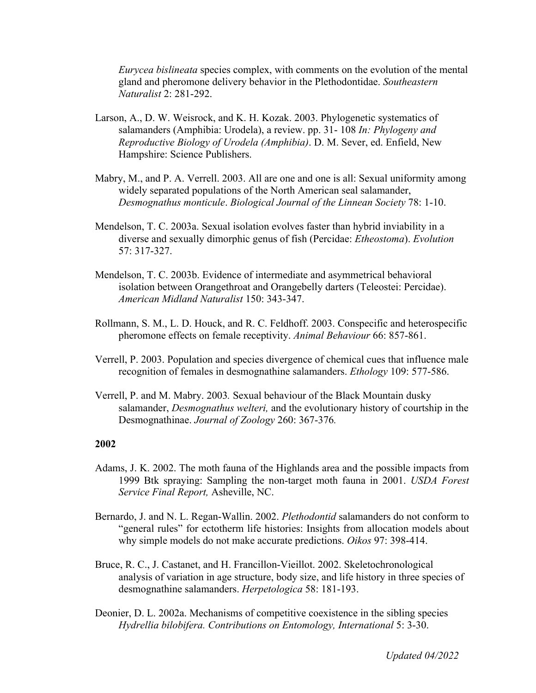*Eurycea bislineata* species complex, with comments on the evolution of the mental gland and pheromone delivery behavior in the Plethodontidae. *Southeastern Naturalist* 2: 281-292.

- Larson, A., D. W. Weisrock, and K. H. Kozak. 2003. Phylogenetic systematics of salamanders (Amphibia: Urodela), a review. pp. 31- 108 *In: Phylogeny and Reproductive Biology of Urodela (Amphibia)*. D. M. Sever, ed. Enfield, New Hampshire: Science Publishers.
- Mabry, M., and P. A. Verrell. 2003. All are one and one is all: Sexual uniformity among widely separated populations of the North American seal salamander, *Desmognathus monticule*. *Biological Journal of the Linnean Society* 78: 1-10.
- Mendelson, T. C. 2003a. Sexual isolation evolves faster than hybrid inviability in a diverse and sexually dimorphic genus of fish (Percidae: *Etheostoma*). *Evolution*  57: 317-327.
- Mendelson, T. C. 2003b. Evidence of intermediate and asymmetrical behavioral isolation between Orangethroat and Orangebelly darters (Teleostei: Percidae). *American Midland Naturalist* 150: 343-347.
- Rollmann, S. M., L. D. Houck, and R. C. Feldhoff. 2003. Conspecific and heterospecific pheromone effects on female receptivity. *Animal Behaviour* 66: 857-861.
- Verrell, P. 2003. Population and species divergence of chemical cues that influence male recognition of females in desmognathine salamanders. *Ethology* 109: 577-586.
- Verrell, P. and M. Mabry. 2003*.* Sexual behaviour of the Black Mountain dusky salamander, *Desmognathus welteri,* and the evolutionary history of courtship in the Desmognathinae. *Journal of Zoology* 260: 367-376*.*

- Adams, J. K. 2002. The moth fauna of the Highlands area and the possible impacts from 1999 Btk spraying: Sampling the non-target moth fauna in 2001. *USDA Forest Service Final Report,* Asheville, NC.
- Bernardo, J. and N. L. Regan-Wallin. 2002. *Plethodontid* salamanders do not conform to "general rules" for ectotherm life histories: Insights from allocation models about why simple models do not make accurate predictions. *Oikos* 97: 398-414.
- Bruce, R. C., J. Castanet, and H. Francillon-Vieillot. 2002. Skeletochronological analysis of variation in age structure, body size, and life history in three species of desmognathine salamanders. *Herpetologica* 58: 181-193.
- Deonier, D. L. 2002a. Mechanisms of competitive coexistence in the sibling species *Hydrellia bilobifera. Contributions on Entomology, International* 5: 3-30.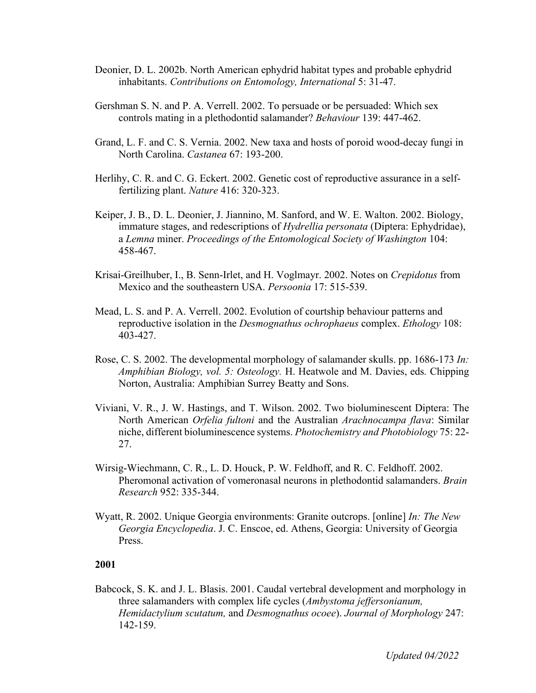- Deonier, D. L. 2002b. North American ephydrid habitat types and probable ephydrid inhabitants. *Contributions on Entomology, International* 5: 31-47.
- Gershman S. N. and P. A. Verrell. 2002. To persuade or be persuaded: Which sex controls mating in a plethodontid salamander? *Behaviour* 139: 447-462.
- Grand, L. F. and C. S. Vernia. 2002. New taxa and hosts of poroid wood-decay fungi in North Carolina. *Castanea* 67: 193-200.
- Herlihy, C. R. and C. G. Eckert. 2002. Genetic cost of reproductive assurance in a selffertilizing plant. *Nature* 416: 320-323.
- Keiper, J. B., D. L. Deonier, J. Jiannino, M. Sanford, and W. E. Walton. 2002. Biology, immature stages, and redescriptions of *Hydrellia personata* (Diptera: Ephydridae), a *Lemna* miner. *Proceedings of the Entomological Society of Washington* 104: 458-467.
- Krisai-Greilhuber, I., B. Senn-Irlet, and H. Voglmayr. 2002. Notes on *Crepidotus* from Mexico and the southeastern USA. *Persoonia* 17: 515-539.
- Mead, L. S. and P. A. Verrell. 2002. Evolution of courtship behaviour patterns and reproductive isolation in the *Desmognathus ochrophaeus* complex. *Ethology* 108: 403-427.
- Rose, C. S. 2002. The developmental morphology of salamander skulls. pp. 1686-173 *In: Amphibian Biology, vol. 5: Osteology.* H. Heatwole and M. Davies, eds*.* Chipping Norton, Australia: Amphibian Surrey Beatty and Sons.
- Viviani, V. R., J. W. Hastings, and T. Wilson. 2002. Two bioluminescent Diptera: The North American *Orfelia fultoni* and the Australian *Arachnocampa flava*: Similar niche, different bioluminescence systems. *Photochemistry and Photobiology* 75: 22- 27.
- Wirsig-Wiechmann, C. R., L. D. Houck, P. W. Feldhoff, and R. C. Feldhoff. 2002. Pheromonal activation of vomeronasal neurons in plethodontid salamanders. *Brain Research* 952: 335-344.
- Wyatt, R. 2002. Unique Georgia environments: Granite outcrops. [online] *In: The New Georgia Encyclopedia*. J. C. Enscoe, ed. Athens, Georgia: University of Georgia Press.

Babcock, S. K. and J. L. Blasis. 2001. Caudal vertebral development and morphology in three salamanders with complex life cycles (*Ambystoma jeffersonianum, Hemidactylium scutatum,* and *Desmognathus ocoee*). *Journal of Morphology* 247: 142-159.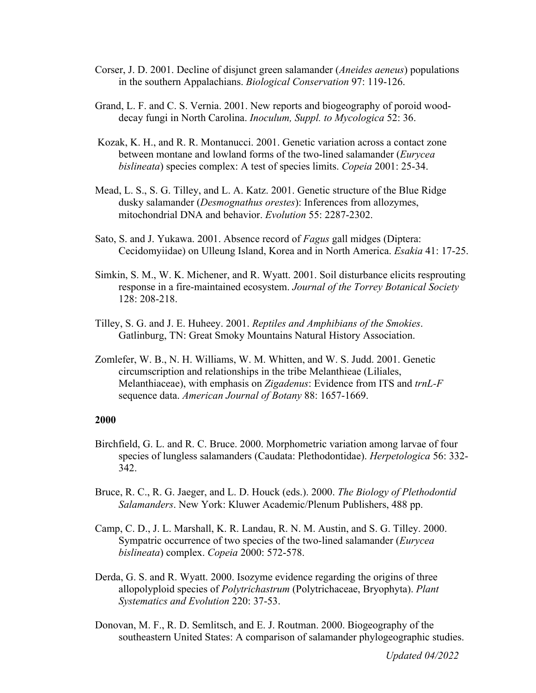- Corser, J. D. 2001. Decline of disjunct green salamander (*Aneides aeneus*) populations in the southern Appalachians. *Biological Conservation* 97: 119-126.
- Grand, L. F. and C. S. Vernia. 2001. New reports and biogeography of poroid wooddecay fungi in North Carolina. *Inoculum, Suppl. to Mycologica* 52: 36.
- Kozak, K. H., and R. R. Montanucci. 2001. Genetic variation across a contact zone between montane and lowland forms of the two-lined salamander (*Eurycea bislineata*) species complex: A test of species limits. *Copeia* 2001: 25-34.
- Mead, L. S., S. G. Tilley, and L. A. Katz. 2001. Genetic structure of the Blue Ridge dusky salamander (*Desmognathus orestes*): Inferences from allozymes, mitochondrial DNA and behavior. *Evolution* 55: 2287-2302.
- Sato, S. and J. Yukawa. 2001. Absence record of *Fagus* gall midges (Diptera: Cecidomyiidae) on Ulleung Island, Korea and in North America. *Esakia* 41: 17-25.
- Simkin, S. M., W. K. Michener, and R. Wyatt. 2001. Soil disturbance elicits resprouting response in a fire-maintained ecosystem. *Journal of the Torrey Botanical Society*  128: 208-218.
- Tilley, S. G. and J. E. Huheey. 2001. *Reptiles and Amphibians of the Smokies*. Gatlinburg, TN: Great Smoky Mountains Natural History Association.
- Zomlefer, W. B., N. H. Williams, W. M. Whitten, and W. S. Judd. 2001. Genetic circumscription and relationships in the tribe Melanthieae (Liliales, Melanthiaceae), with emphasis on *Zigadenus*: Evidence from ITS and *trnL-F*  sequence data. *American Journal of Botany* 88: 1657-1669.

- Birchfield, G. L. and R. C. Bruce. 2000. Morphometric variation among larvae of four species of lungless salamanders (Caudata: Plethodontidae). *Herpetologica* 56: 332- 342.
- Bruce, R. C., R. G. Jaeger, and L. D. Houck (eds.). 2000. *The Biology of Plethodontid Salamanders*. New York: Kluwer Academic/Plenum Publishers, 488 pp.
- Camp, C. D., J. L. Marshall, K. R. Landau, R. N. M. Austin, and S. G. Tilley. 2000. Sympatric occurrence of two species of the two-lined salamander (*Eurycea bislineata*) complex. *Copeia* 2000: 572-578.
- Derda, G. S. and R. Wyatt. 2000. Isozyme evidence regarding the origins of three allopolyploid species of *Polytrichastrum* (Polytrichaceae, Bryophyta). *Plant Systematics and Evolution* 220: 37-53.
- Donovan, M. F., R. D. Semlitsch, and E. J. Routman. 2000. Biogeography of the southeastern United States: A comparison of salamander phylogeographic studies.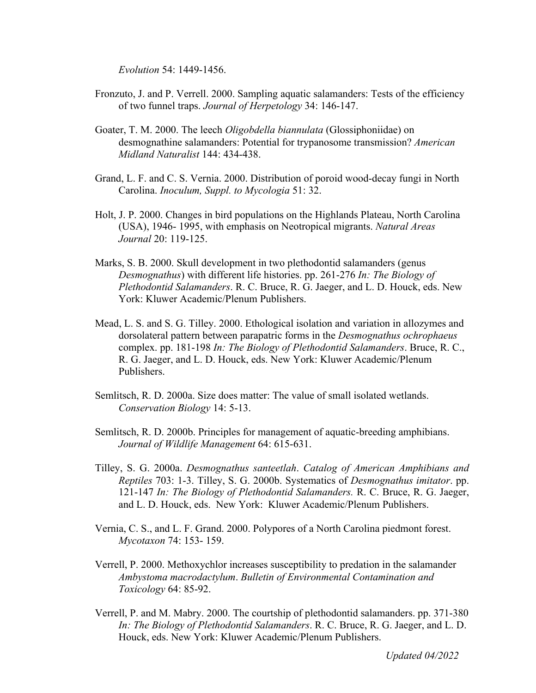*Evolution* 54: 1449-1456.

- Fronzuto, J. and P. Verrell. 2000. Sampling aquatic salamanders: Tests of the efficiency of two funnel traps. *Journal of Herpetology* 34: 146-147.
- Goater, T. M. 2000. The leech *Oligobdella biannulata* (Glossiphoniidae) on desmognathine salamanders: Potential for trypanosome transmission? *American Midland Naturalist* 144: 434-438.
- Grand, L. F. and C. S. Vernia. 2000. Distribution of poroid wood-decay fungi in North Carolina. *Inoculum, Suppl. to Mycologia* 51: 32.
- Holt, J. P. 2000. Changes in bird populations on the Highlands Plateau, North Carolina (USA), 1946- 1995, with emphasis on Neotropical migrants. *Natural Areas Journal* 20: 119-125.
- Marks, S. B. 2000. Skull development in two plethodontid salamanders (genus *Desmognathus*) with different life histories. pp. 261-276 *In: The Biology of Plethodontid Salamanders*. R. C. Bruce, R. G. Jaeger, and L. D. Houck, eds. New York: Kluwer Academic/Plenum Publishers.
- Mead, L. S. and S. G. Tilley. 2000. Ethological isolation and variation in allozymes and dorsolateral pattern between parapatric forms in the *Desmognathus ochrophaeus*  complex. pp. 181-198 *In: The Biology of Plethodontid Salamanders*. Bruce, R. C., R. G. Jaeger, and L. D. Houck, eds. New York: Kluwer Academic/Plenum Publishers.
- Semlitsch, R. D. 2000a. Size does matter: The value of small isolated wetlands. *Conservation Biology* 14: 5-13.
- Semlitsch, R. D. 2000b. Principles for management of aquatic-breeding amphibians. *Journal of Wildlife Management* 64: 615-631.
- Tilley, S. G. 2000a. *Desmognathus santeetlah*. *Catalog of American Amphibians and Reptiles* 703: 1-3. Tilley, S. G. 2000b. Systematics of *Desmognathus imitator*. pp. 121-147 *In: The Biology of Plethodontid Salamanders.* R. C. Bruce, R. G. Jaeger, and L. D. Houck, eds. New York: Kluwer Academic/Plenum Publishers.
- Vernia, C. S., and L. F. Grand. 2000. Polypores of a North Carolina piedmont forest. *Mycotaxon* 74: 153- 159.
- Verrell, P. 2000. Methoxychlor increases susceptibility to predation in the salamander *Ambystoma macrodactylum*. *Bulletin of Environmental Contamination and Toxicology* 64: 85-92.
- Verrell, P. and M. Mabry. 2000. The courtship of plethodontid salamanders. pp. 371-380 *In: The Biology of Plethodontid Salamanders*. R. C. Bruce, R. G. Jaeger, and L. D. Houck, eds. New York: Kluwer Academic/Plenum Publishers.